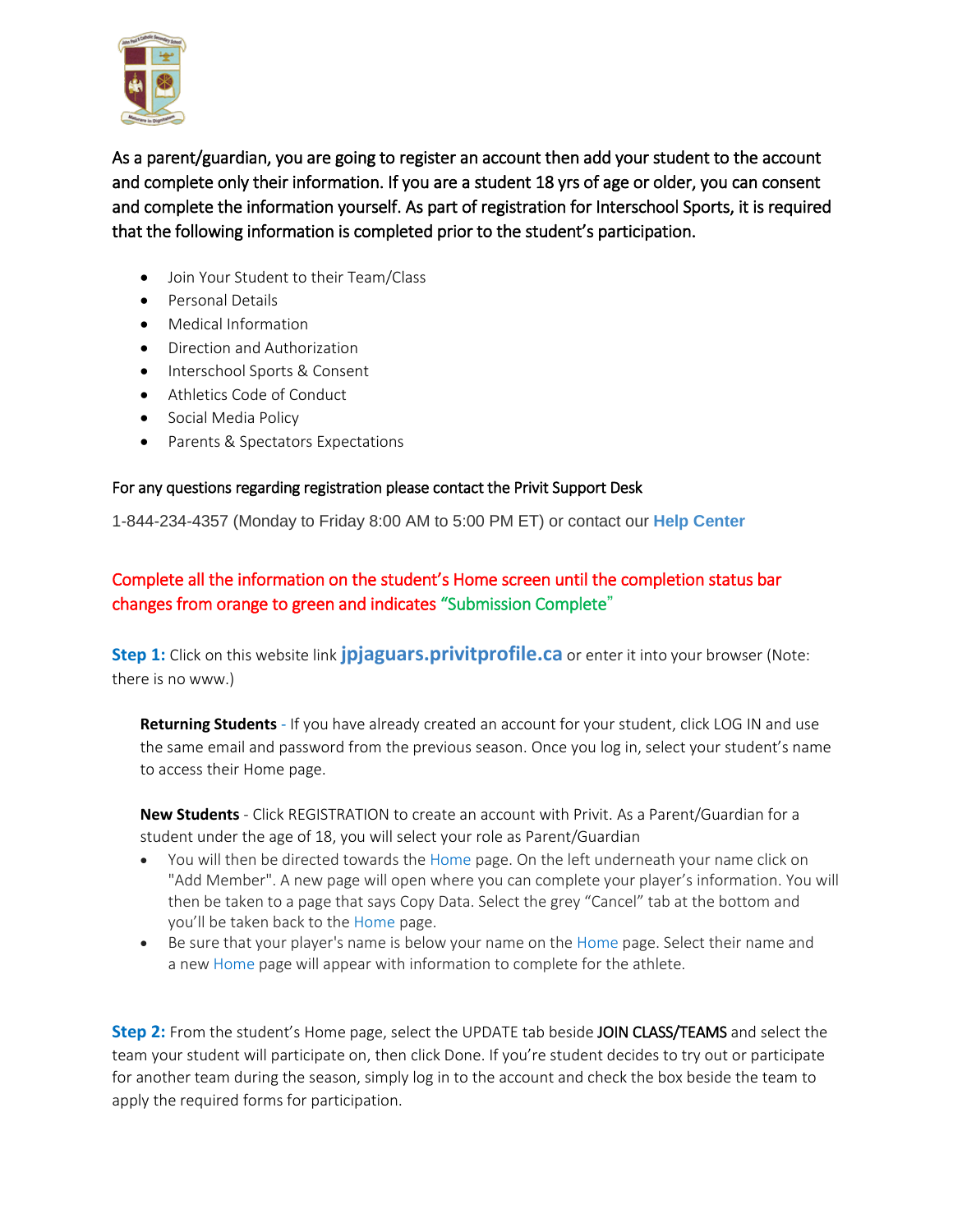

As a parent/guardian, you are going to register an account then add your student to the account and complete only their information. If you are a student 18 yrs of age or older, you can consent and complete the information yourself. As part of registration for Interschool Sports, it is required that the following information is completed prior to the student's participation.

- Join Your Student to their Team/Class
- Personal Details
- Medical Information
- Direction and Authorization
- Interschool Sports & Consent
- Athletics Code of Conduct
- Social Media Policy
- Parents & Spectators Expectations

## For any questions regarding registration please contact the Privit Support Desk

1-844-234-4357 (Monday to Friday 8:00 AM to 5:00 PM ET) or contact our **Help [Center](https://support.privit.com/hc/en-us)**

## Complete all the information on the student's Home screen until the completion status bar changes from orange to green and indicates "Submission Complete"

**Step 1:** Click on this website link **[jpjaguars.privitprofile.ca](https://jpjaguars.privitprofile.ca/)** or enter it into your browser (Note: there is no www.)

**Returning Students** - If you have already created an account for your student, click LOG IN and use the same email and password from the previous season. Once you log in, select your student's name to access their Home page.

**New Students** - Click REGISTRATION to create an account with Privit. As a Parent/Guardian for a student under the age of 18, you will select your role as Parent/Guardian

- You will then be directed towards the Home page. On the left underneath your name click on "Add Member". A new page will open where you can complete your player's information. You will then be taken to a page that says Copy Data. Select the grey "Cancel" tab at the bottom and you'll be taken back to the Home page.
- Be sure that your player's name is below your name on the Home page. Select their name and a new Home page will appear with information to complete for the athlete.

**Step 2:** From the student's Home page, select the UPDATE tab beside JOIN CLASS/TEAMS and select the team your student will participate on, then click Done. If you're student decides to try out or participate for another team during the season, simply log in to the account and check the box beside the team to apply the required forms for participation.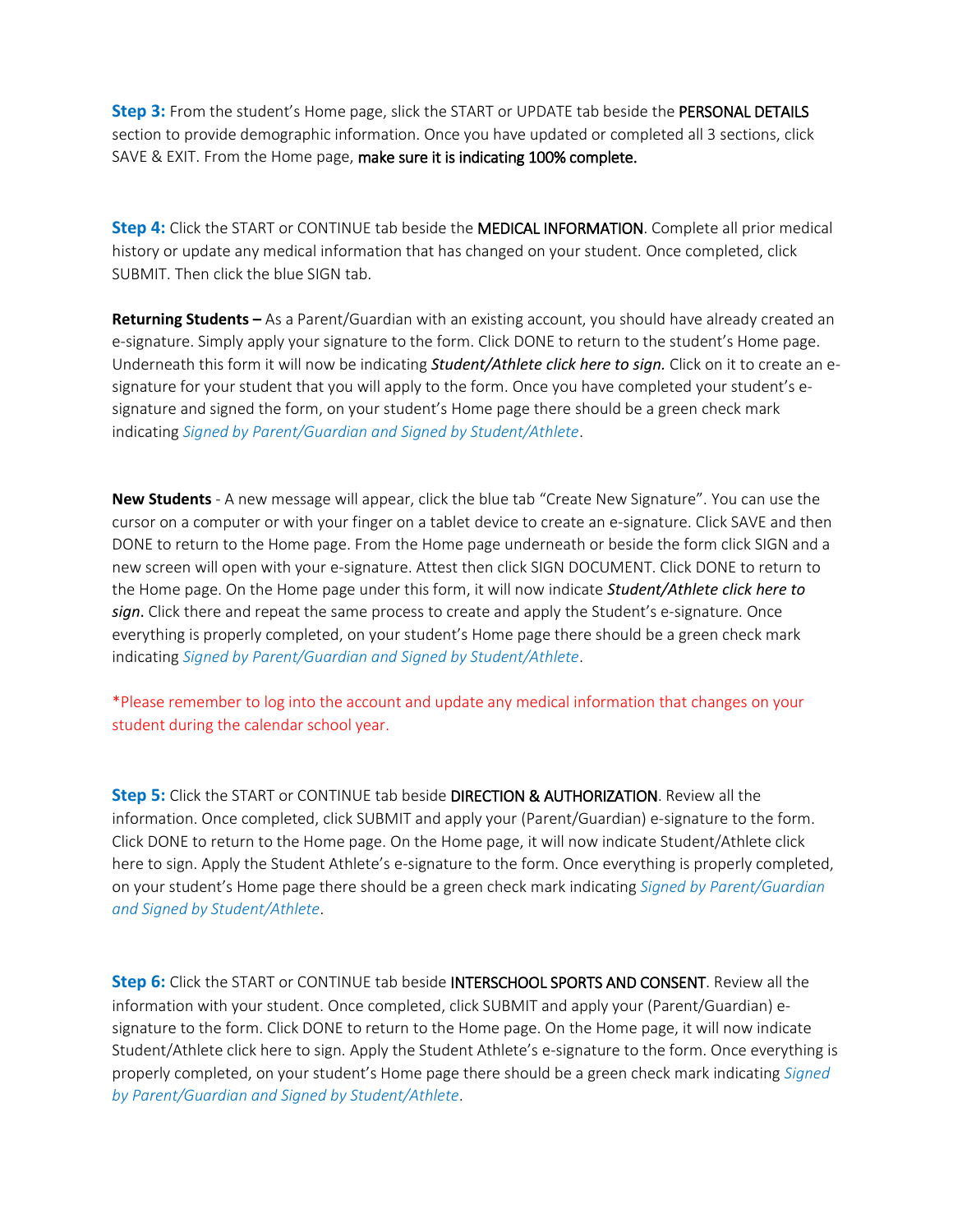**Step 3:** From the student's Home page, slick the START or UPDATE tab beside the PERSONAL DETAILS section to provide demographic information. Once you have updated or completed all 3 sections, click SAVE & EXIT. From the Home page, make sure it is indicating 100% complete.

**Step 4:** Click the START or CONTINUE tab beside the MEDICAL INFORMATION. Complete all prior medical history or update any medical information that has changed on your student. Once completed, click SUBMIT. Then click the blue SIGN tab.

**Returning Students –** As a Parent/Guardian with an existing account, you should have already created an e-signature. Simply apply your signature to the form. Click DONE to return to the student's Home page. Underneath this form it will now be indicating *Student/Athlete click here to sign.* Click on it to create an esignature for your student that you will apply to the form. Once you have completed your student's esignature and signed the form, on your student's Home page there should be a green check mark indicating *Signed by Parent/Guardian and Signed by Student/Athlete*.

**New Students** - A new message will appear, click the blue tab "Create New Signature". You can use the cursor on a computer or with your finger on a tablet device to create an e-signature. Click SAVE and then DONE to return to the Home page. From the Home page underneath or beside the form click SIGN and a new screen will open with your e-signature. Attest then click SIGN DOCUMENT. Click DONE to return to the Home page. On the Home page under this form, it will now indicate *Student/Athlete click here to sign*. Click there and repeat the same process to create and apply the Student's e-signature. Once everything is properly completed, on your student's Home page there should be a green check mark indicating *Signed by Parent/Guardian and Signed by Student/Athlete*.

\*Please remember to log into the account and update any medical information that changes on your student during the calendar school year.

**Step 5:** Click the START or CONTINUE tab beside DIRECTION & AUTHORIZATION. Review all the information. Once completed, click SUBMIT and apply your (Parent/Guardian) e-signature to the form. Click DONE to return to the Home page. On the Home page, it will now indicate Student/Athlete click here to sign. Apply the Student Athlete's e-signature to the form. Once everything is properly completed, on your student's Home page there should be a green check mark indicating *Signed by Parent/Guardian and Signed by Student/Athlete*.

**Step 6:** Click the START or CONTINUE tab beside INTERSCHOOL SPORTS AND CONSENT. Review all the information with your student. Once completed, click SUBMIT and apply your (Parent/Guardian) esignature to the form. Click DONE to return to the Home page. On the Home page, it will now indicate Student/Athlete click here to sign. Apply the Student Athlete's e-signature to the form. Once everything is properly completed, on your student's Home page there should be a green check mark indicating *Signed by Parent/Guardian and Signed by Student/Athlete*.